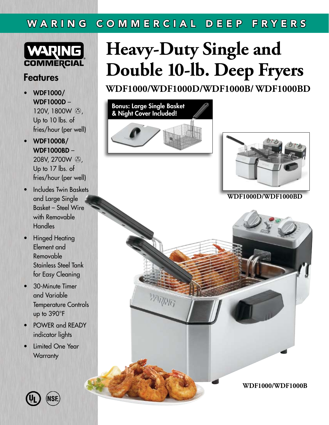### WARING COMMERCIAL DEEP FRYERS



#### Features

- WDF1000/ WDF1000D – 120V, 1800W  $\odot$ , Up to 10 lbs. of fries/hour (per well)
- WDF1000B/ WDF1000BD – 208V, 2700W  $\odot$ , Up to 17 lbs. of fries/hour (per well)
- Includes Twin Baskets and Large Single Basket – Steel Wire with Removable **Handles**
- Hinged Heating Element and Removable Stainless Steel Tank for Easy Cleaning
- 30-Minute Timer and Variable Temperature Controls up to 390°F
- POWER and READY indicator lights
- **Limited One Year Warranty**

# **Heavy-Duty Single and Double 10-lb. Deep Fryers**

**WDF1000/WDF1000D/WDF1000B/ WDF1000BD**





**WDF1000D/WDF1000BD**